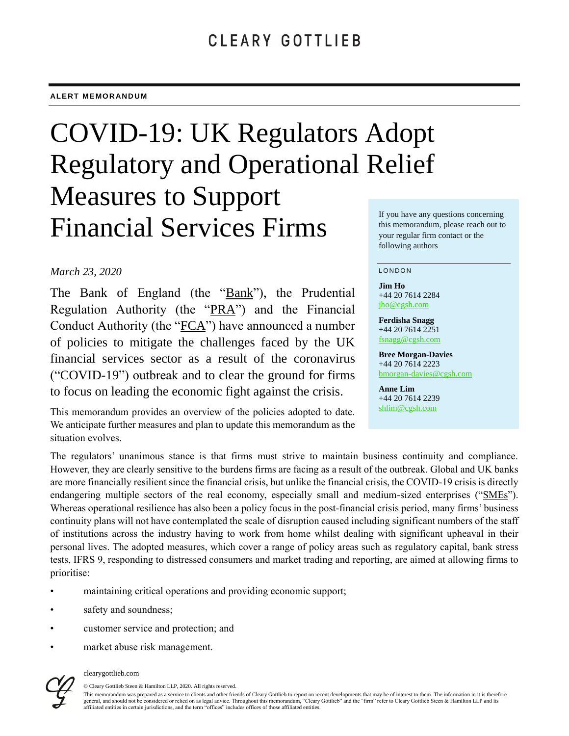# COVID-19: UK Regulators Adopt Regulatory and Operational Relief Measures to Support Financial Services Firms

### *March 23, 2020*

The Bank of England (the "Bank"), the Prudential Regulation Authority (the "PRA") and the Financial Conduct Authority (the "FCA") have announced a number of policies to mitigate the challenges faced by the UK financial services sector as a result of the coronavirus ("COVID-19") outbreak and to clear the ground for firms to focus on leading the economic fight against the crisis.

This memorandum provides an overview of the policies adopted to date. We anticipate further measures and plan to update this memorandum as the situation evolves.

If you have any questions concerning this memorandum, please reach out to your regular firm contact or the following authors

#### **LONDON**

**Jim Ho** +44 20 7614 2284 [jho@cgsh.com](mailto:jho@cgsh.com)

**Ferdisha Snagg** +44 20 7614 2251 [fsnagg@cgsh.com](mailto:fsnagg@cgsh.com)

**Bree Morgan-Davies** +44 20 7614 2223 [bmorgan-davies@cgsh.com](mailto:bmorgan-davies@cgsh.com)

**Anne Lim** +44 20 7614 2239 [shlim@cgsh.com](mailto:shlim@cgsh.com)

The regulators' unanimous stance is that firms must strive to maintain business continuity and compliance. However, they are clearly sensitive to the burdens firms are facing as a result of the outbreak. Global and UK banks are more financially resilient since the financial crisis, but unlike the financial crisis, the COVID-19 crisis is directly endangering multiple sectors of the real economy, especially small and medium-sized enterprises ("SMEs"). Whereas operational resilience has also been a policy focus in the post-financial crisis period, many firms' business continuity plans will not have contemplated the scale of disruption caused including significant numbers of the staff of institutions across the industry having to work from home whilst dealing with significant upheaval in their personal lives. The adopted measures, which cover a range of policy areas such as regulatory capital, bank stress tests, IFRS 9, responding to distressed consumers and market trading and reporting, are aimed at allowing firms to prioritise:

- maintaining critical operations and providing economic support;
- safety and soundness;
- customer service and protection; and
- market abuse risk management.



#### clearygottlieb.com

© Cleary Gottlieb Steen & Hamilton LLP, 2020. All rights reserved.

This memorandum was prepared as a service to clients and other friends of Cleary Gottlieb to report on recent developments that may be of interest to them. The information in it is therefore general, and should not be considered or relied on as legal advice. Throughout this memorandum, "Cleary Gottlieb" and the "firm" refer to Cleary Gottlieb Steen & Hamilton LLP and its affiliated entities in certain jurisdictions, and the term "offices" includes offices of those affiliated entities.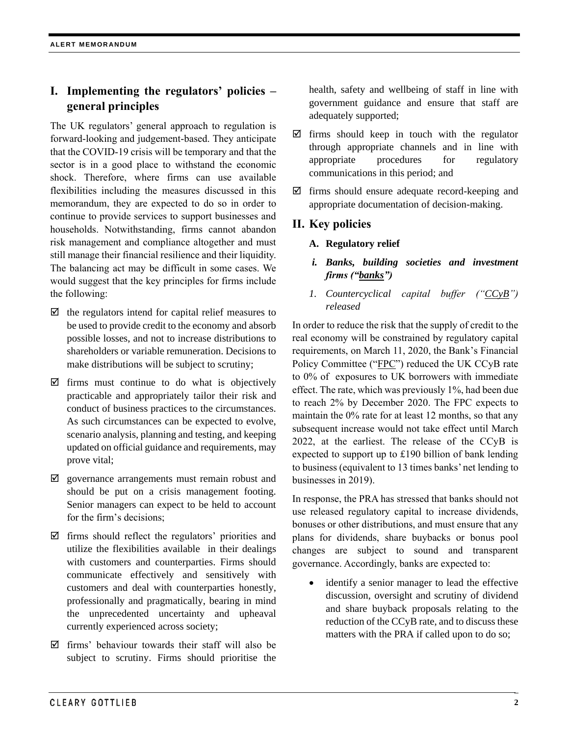# **I. Implementing the regulators' policies – general principles**

The UK regulators' general approach to regulation is forward-looking and judgement-based. They anticipate that the COVID-19 crisis will be temporary and that the sector is in a good place to withstand the economic shock. Therefore, where firms can use available flexibilities including the measures discussed in this memorandum, they are expected to do so in order to continue to provide services to support businesses and households. Notwithstanding, firms cannot abandon risk management and compliance altogether and must still manage their financial resilience and their liquidity. The balancing act may be difficult in some cases. We would suggest that the key principles for firms include the following:

- $\boxtimes$  the regulators intend for capital relief measures to be used to provide credit to the economy and absorb possible losses, and not to increase distributions to shareholders or variable remuneration. Decisions to make distributions will be subject to scrutiny;
- $\boxtimes$  firms must continue to do what is objectively practicable and appropriately tailor their risk and conduct of business practices to the circumstances. As such circumstances can be expected to evolve, scenario analysis, planning and testing, and keeping updated on official guidance and requirements, may prove vital;
- $\boxtimes$  governance arrangements must remain robust and should be put on a crisis management footing. Senior managers can expect to be held to account for the firm's decisions;
- $\boxtimes$  firms should reflect the regulators' priorities and utilize the flexibilities available in their dealings with customers and counterparties. Firms should communicate effectively and sensitively with customers and deal with counterparties honestly, professionally and pragmatically, bearing in mind the unprecedented uncertainty and upheaval currently experienced across society;
- $\boxtimes$  firms' behaviour towards their staff will also be subject to scrutiny. Firms should prioritise the

health, safety and wellbeing of staff in line with government guidance and ensure that staff are adequately supported;

- $\triangledown$  firms should keep in touch with the regulator through appropriate channels and in line with appropriate procedures for regulatory communications in this period; and
- $\boxtimes$  firms should ensure adequate record-keeping and appropriate documentation of decision-making.

## **II. Key policies**

- **A. Regulatory relief**
- *i. Banks, building societies and investment firms ("banks")*
- *1. Countercyclical capital buffer ("CCyB") released*

In order to reduce the risk that the supply of credit to the real economy will be constrained by regulatory capital requirements, on March 11, 2020, the Bank's Financial Policy Committee ("FPC") reduced the UK CCyB rate to 0% of exposures to UK borrowers with immediate effect. The rate, which was previously 1%, had been due to reach 2% by December 2020. The FPC expects to maintain the 0% rate for at least 12 months, so that any subsequent increase would not take effect until March 2022, at the earliest. The release of the CCyB is expected to support up to £190 billion of bank lending to business (equivalent to 13 times banks' net lending to businesses in 2019).

In response, the PRA has stressed that banks should not use released regulatory capital to increase dividends, bonuses or other distributions, and must ensure that any plans for dividends, share buybacks or bonus pool changes are subject to sound and transparent governance. Accordingly, banks are expected to:

 identify a senior manager to lead the effective discussion, oversight and scrutiny of dividend and share buyback proposals relating to the reduction of the CCyB rate, and to discuss these matters with the PRA if called upon to do so;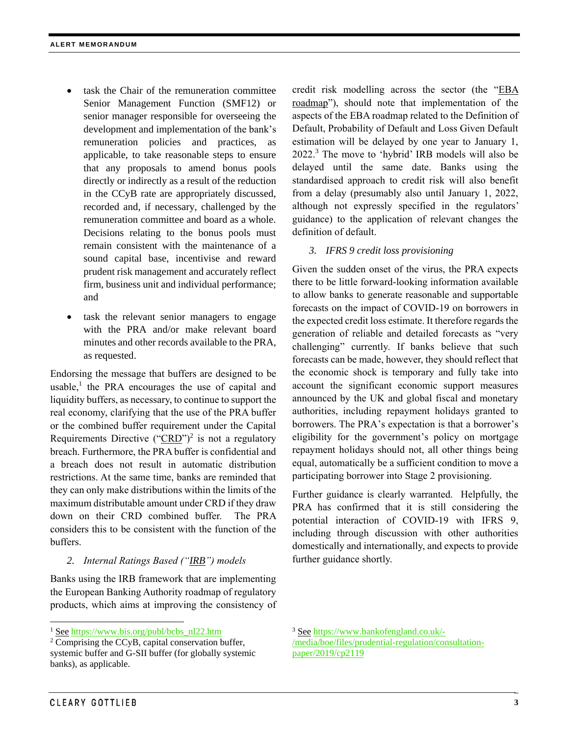- task the Chair of the remuneration committee Senior Management Function (SMF12) or senior manager responsible for overseeing the development and implementation of the bank's remuneration policies and practices, as applicable, to take reasonable steps to ensure that any proposals to amend bonus pools directly or indirectly as a result of the reduction in the CCyB rate are appropriately discussed, recorded and, if necessary, challenged by the remuneration committee and board as a whole. Decisions relating to the bonus pools must remain consistent with the maintenance of a sound capital base, incentivise and reward prudent risk management and accurately reflect firm, business unit and individual performance; and
- task the relevant senior managers to engage with the PRA and/or make relevant board minutes and other records available to the PRA, as requested.

Endorsing the message that buffers are designed to be usable, $<sup>1</sup>$  the PRA encourages the use of capital and</sup> liquidity buffers, as necessary, to continue to support the real economy, clarifying that the use of the PRA buffer or the combined buffer requirement under the Capital Requirements Directive (" $CRD$ ")<sup>2</sup> is not a regulatory breach. Furthermore, the PRA buffer is confidential and a breach does not result in automatic distribution restrictions. At the same time, banks are reminded that they can only make distributions within the limits of the maximum distributable amount under CRD if they draw down on their CRD combined buffer. The PRA considers this to be consistent with the function of the buffers.

#### *2. Internal Ratings Based ("IRB") models*

Banks using the IRB framework that are implementing the European Banking Authority roadmap of regulatory products, which aims at improving the consistency of credit risk modelling across the sector (the "EBA roadmap"), should note that implementation of the aspects of the EBA roadmap related to the Definition of Default, Probability of Default and Loss Given Default estimation will be delayed by one year to January 1, 2022.<sup>3</sup> The move to 'hybrid' IRB models will also be delayed until the same date. Banks using the standardised approach to credit risk will also benefit from a delay (presumably also until January 1, 2022, although not expressly specified in the regulators' guidance) to the application of relevant changes the definition of default.

#### *3. IFRS 9 credit loss provisioning*

Given the sudden onset of the virus, the PRA expects there to be little forward-looking information available to allow banks to generate reasonable and supportable forecasts on the impact of COVID-19 on borrowers in the expected credit loss estimate. It therefore regards the generation of reliable and detailed forecasts as "very challenging" currently. If banks believe that such forecasts can be made, however, they should reflect that the economic shock is temporary and fully take into account the significant economic support measures announced by the UK and global fiscal and monetary authorities, including repayment holidays granted to borrowers. The PRA's expectation is that a borrower's eligibility for the government's policy on mortgage repayment holidays should not, all other things being equal, automatically be a sufficient condition to move a participating borrower into Stage 2 provisioning.

Further guidance is clearly warranted. Helpfully, the PRA has confirmed that it is still considering the potential interaction of COVID-19 with IFRS 9, including through discussion with other authorities domestically and internationally, and expects to provide further guidance shortly.

l

<sup>&</sup>lt;sup>1</sup> See [https://www.bis.org/publ/bcbs\\_nl22.htm](https://www.bis.org/publ/bcbs_nl22.htm)

 $2^{\circ}$  Comprising the CCyB, capital conservation buffer, systemic buffer and G-SII buffer (for globally systemic banks), as applicable.

<sup>3</sup> See [https://www.bankofengland.co.uk/-](https://www.bankofengland.co.uk/-/media/boe/files/prudential-regulation/consultation-paper/2019/cp2119)

[<sup>/</sup>media/boe/files/prudential-regulation/consultation](https://www.bankofengland.co.uk/-/media/boe/files/prudential-regulation/consultation-paper/2019/cp2119)[paper/2019/cp2119](https://www.bankofengland.co.uk/-/media/boe/files/prudential-regulation/consultation-paper/2019/cp2119)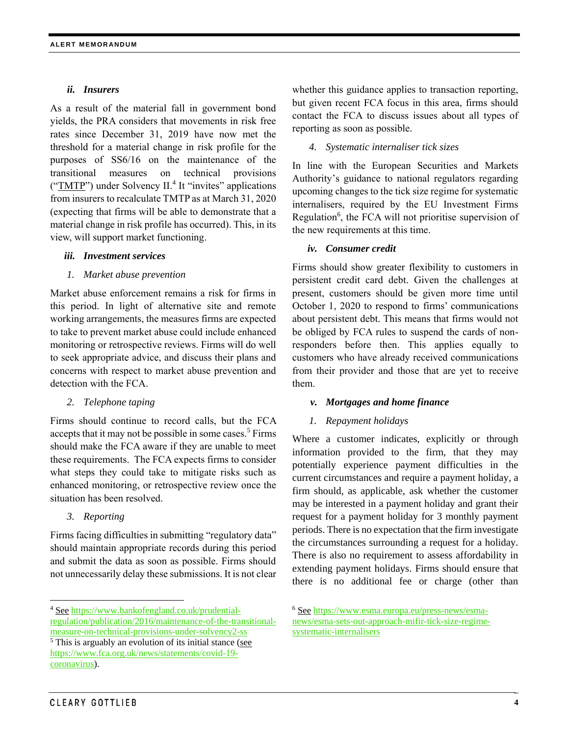#### *ii. Insurers*

As a result of the material fall in government bond yields, the PRA considers that movements in risk free rates since December 31, 2019 have now met the threshold for a material change in risk profile for the purposes of SS6/16 on the maintenance of the transitional measures on technical provisions ("TMTP") under Solvency II.<sup>4</sup> It "invites" applications from insurers to recalculate TMTP as at March 31, 2020 (expecting that firms will be able to demonstrate that a material change in risk profile has occurred). This, in its view, will support market functioning.

#### *iii. Investment services*

#### *1. Market abuse prevention*

Market abuse enforcement remains a risk for firms in this period. In light of alternative site and remote working arrangements, the measures firms are expected to take to prevent market abuse could include enhanced monitoring or retrospective reviews. Firms will do well to seek appropriate advice, and discuss their plans and concerns with respect to market abuse prevention and detection with the FCA.

#### *2. Telephone taping*

Firms should continue to record calls, but the FCA accepts that it may not be possible in some cases.<sup>5</sup> Firms should make the FCA aware if they are unable to meet these requirements. The FCA expects firms to consider what steps they could take to mitigate risks such as enhanced monitoring, or retrospective review once the situation has been resolved.

#### *3. Reporting*

l

Firms facing difficulties in submitting "regulatory data" should maintain appropriate records during this period and submit the data as soon as possible. Firms should not unnecessarily delay these submissions. It is not clear whether this guidance applies to transaction reporting, but given recent FCA focus in this area, firms should contact the FCA to discuss issues about all types of reporting as soon as possible.

#### *4. Systematic internaliser tick sizes*

In line with the European Securities and Markets Authority's guidance to national regulators regarding upcoming changes to the tick size regime for systematic internalisers, required by the EU Investment Firms Regulation<sup>6</sup>, the FCA will not prioritise supervision of the new requirements at this time.

#### *iv. Consumer credit*

Firms should show greater flexibility to customers in persistent credit card debt. Given the challenges at present, customers should be given more time until October 1, 2020 to respond to firms' communications about persistent debt. This means that firms would not be obliged by FCA rules to suspend the cards of nonresponders before then. This applies equally to customers who have already received communications from their provider and those that are yet to receive them.

#### *v. Mortgages and home finance*

#### *1. Repayment holidays*

Where a customer indicates, explicitly or through information provided to the firm, that they may potentially experience payment difficulties in the current circumstances and require a payment holiday, a firm should, as applicable, ask whether the customer may be interested in a payment holiday and grant their request for a payment holiday for 3 monthly payment periods. There is no expectation that the firm investigate the circumstances surrounding a request for a holiday. There is also no requirement to assess affordability in extending payment holidays. Firms should ensure that there is no additional fee or charge (other than

<sup>4</sup> See [https://www.bankofengland.co.uk/prudential](https://www.bankofengland.co.uk/prudential-regulation/publication/2016/maintenance-of-the-transitional-measure-on-technical-provisions-under-solvency2-ss)[regulation/publication/2016/maintenance-of-the-transitional-](https://www.bankofengland.co.uk/prudential-regulation/publication/2016/maintenance-of-the-transitional-measure-on-technical-provisions-under-solvency2-ss)

[measure-on-technical-provisions-under-solvency2-ss](https://www.bankofengland.co.uk/prudential-regulation/publication/2016/maintenance-of-the-transitional-measure-on-technical-provisions-under-solvency2-ss)  $5$  This is arguably an evolution of its initial stance (see [https://www.fca.org.uk/news/statements/covid-19](https://www.fca.org.uk/news/statements/covid-19-coronavirus) [coronavirus\)](https://www.fca.org.uk/news/statements/covid-19-coronavirus).

<sup>6</sup> See [https://www.esma.europa.eu/press-news/esma](https://www.esma.europa.eu/press-news/esma-news/esma-sets-out-approach-mifir-tick-size-regime-systematic-internalisers)[news/esma-sets-out-approach-mifir-tick-size-regime](https://www.esma.europa.eu/press-news/esma-news/esma-sets-out-approach-mifir-tick-size-regime-systematic-internalisers)[systematic-internalisers](https://www.esma.europa.eu/press-news/esma-news/esma-sets-out-approach-mifir-tick-size-regime-systematic-internalisers)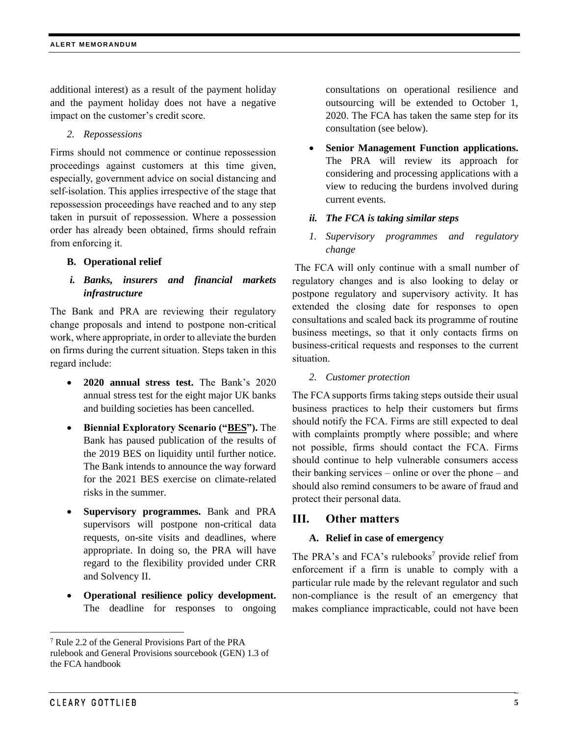additional interest) as a result of the payment holiday and the payment holiday does not have a negative impact on the customer's credit score.

*2. Repossessions*

Firms should not commence or continue repossession proceedings against customers at this time given, especially, government advice on social distancing and self-isolation. This applies irrespective of the stage that repossession proceedings have reached and to any step taken in pursuit of repossession. Where a possession order has already been obtained, firms should refrain from enforcing it.

#### **B. Operational relief**

#### *i. Banks, insurers and financial markets infrastructure*

The Bank and PRA are reviewing their regulatory change proposals and intend to postpone non-critical work, where appropriate, in order to alleviate the burden on firms during the current situation. Steps taken in this regard include:

- **2020 annual stress test.** The Bank's 2020 annual stress test for the eight major UK banks and building societies has been cancelled.
- **Biennial Exploratory Scenario ("BES").** The Bank has paused publication of the results of the 2019 BES on liquidity until further notice. The Bank intends to announce the way forward for the 2021 BES exercise on climate-related risks in the summer.
- **Supervisory programmes.** Bank and PRA supervisors will postpone non-critical data requests, on-site visits and deadlines, where appropriate. In doing so, the PRA will have regard to the flexibility provided under CRR and Solvency II.
- **Operational resilience policy development.** The deadline for responses to ongoing

consultations on operational resilience and outsourcing will be extended to October 1, 2020. The FCA has taken the same step for its consultation (see below).

 **Senior Management Function applications.** The PRA will review its approach for considering and processing applications with a view to reducing the burdens involved during current events.

#### *ii. The FCA is taking similar steps*

*1. Supervisory programmes and regulatory change*

The FCA will only continue with a small number of regulatory changes and is also looking to delay or postpone regulatory and supervisory activity. It has extended the closing date for responses to open consultations and scaled back its programme of routine business meetings, so that it only contacts firms on business-critical requests and responses to the current situation.

#### *2. Customer protection*

The FCA supports firms taking steps outside their usual business practices to help their customers but firms should notify the FCA. Firms are still expected to deal with complaints promptly where possible; and where not possible, firms should contact the FCA. Firms should continue to help vulnerable consumers access their banking services – online or over the phone – and should also remind consumers to be aware of fraud and protect their personal data.

### **III. Other matters**

#### **A. Relief in case of emergency**

The PRA's and FCA's rulebooks<sup>7</sup> provide relief from enforcement if a firm is unable to comply with a particular rule made by the relevant regulator and such non-compliance is the result of an emergency that makes compliance impracticable, could not have been

l

<sup>7</sup> Rule 2.2 of the General Provisions Part of the PRA rulebook and General Provisions sourcebook (GEN) 1.3 of the FCA handbook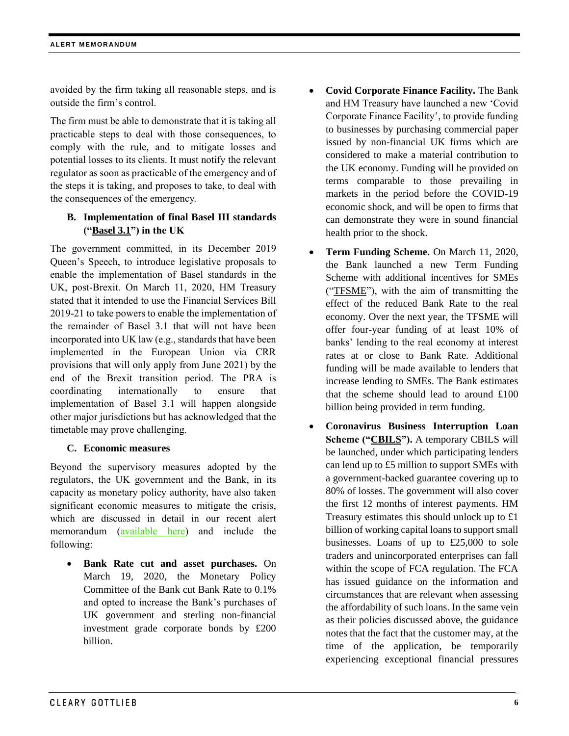avoided by the firm taking all reasonable steps, and is outside the firm's control.

The firm must be able to demonstrate that it is taking all practicable steps to deal with those consequences, to comply with the rule, and to mitigate losses and potential losses to its clients. It must notify the relevant regulator as soon as practicable of the emergency and of the steps it is taking, and proposes to take, to deal with the consequences of the emergency.

## **B. Implementation of final Basel III standards ("Basel 3.1") in the UK**

The government committed, in its December 2019 Queen's Speech, to introduce legislative proposals to enable the implementation of Basel standards in the UK, post-Brexit. On March 11, 2020, HM Treasury stated that it intended to use the Financial Services Bill 2019-21 to take powers to enable the implementation of the remainder of Basel 3.1 that will not have been incorporated into UK law (e.g., standards that have been implemented in the European Union via CRR provisions that will only apply from June 2021) by the end of the Brexit transition period. The PRA is coordinating internationally to ensure that implementation of Basel 3.1 will happen alongside other major jurisdictions but has acknowledged that the timetable may prove challenging.

### **C. Economic measures**

Beyond the supervisory measures adopted by the regulators, the UK government and the Bank, in its capacity as monetary policy authority, have also taken significant economic measures to mitigate the crisis, which are discussed in detail in our recent alert memorandum [\(available here\)](https://client.clearygottlieb.com/63/1606/uploads/2020-03-20--covid-19-uk-government-s-latest-measures-to-support-uk-businesses.pdf) and include the following:

 **Bank Rate cut and asset purchases.** On March 19, 2020, the Monetary Policy Committee of the Bank cut Bank Rate to 0.1% and opted to increase the Bank's purchases of UK government and sterling non-financial investment grade corporate bonds by £200 billion.

- **Covid Corporate Finance Facility.** The Bank and HM Treasury have launched a new 'Covid Corporate Finance Facility', to provide funding to businesses by purchasing commercial paper issued by non-financial UK firms which are considered to make a material contribution to the UK economy. Funding will be provided on terms comparable to those prevailing in markets in the period before the COVID-19 economic shock, and will be open to firms that can demonstrate they were in sound financial health prior to the shock.
- **Term Funding Scheme.** On March 11, 2020, the Bank launched a new Term Funding Scheme with additional incentives for SMEs ("TFSME"), with the aim of transmitting the effect of the reduced Bank Rate to the real economy. Over the next year, the TFSME will offer four-year funding of at least 10% of banks' lending to the real economy at interest rates at or close to Bank Rate. Additional funding will be made available to lenders that increase lending to SMEs. The Bank estimates that the scheme should lead to around £100 billion being provided in term funding.
- **Coronavirus Business Interruption Loan Scheme ("CBILS").** A temporary CBILS will be launched, under which participating lenders can lend up to £5 million to support SMEs with a government-backed guarantee covering up to 80% of losses. The government will also cover the first 12 months of interest payments. HM Treasury estimates this should unlock up to £1 billion of working capital loans to support small businesses. Loans of up to £25,000 to sole traders and unincorporated enterprises can fall within the scope of FCA regulation. The FCA has issued guidance on the information and circumstances that are relevant when assessing the affordability of such loans. In the same vein as their policies discussed above, the guidance notes that the fact that the customer may, at the time of the application, be temporarily experiencing exceptional financial pressures